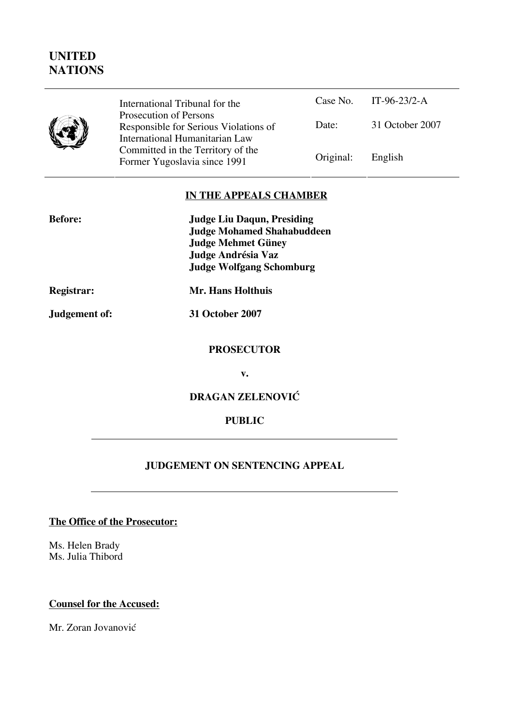## **UNITED NATIONS**

| International Tribunal for the<br>Prosecution of Persons<br>Responsible for Serious Violation<br>International Humanitarian Law<br>Committed in the Territory of the |
|----------------------------------------------------------------------------------------------------------------------------------------------------------------------|
| Former Yugoslavia since 1991                                                                                                                                         |

| for the                             |           | Case No. IT-96-23/2-A |
|-------------------------------------|-----------|-----------------------|
| ß<br>us Violations of<br>tarian Law | Date:     | 31 October 2007       |
| ritory of the<br>nce 1991           | Original: | English               |

## **IN THE APPEALS CHAMBER**

| <b>Before:</b>    | <b>Judge Liu Daqun, Presiding</b> |
|-------------------|-----------------------------------|
|                   | <b>Judge Mohamed Shahabuddeen</b> |
|                   | <b>Judge Mehmet Güney</b>         |
|                   | Judge Andrésia Vaz                |
|                   | <b>Judge Wolfgang Schomburg</b>   |
| <b>Registrar:</b> | Mr. Hans Holthuis                 |
| Judgement of:     | 31 October 2007                   |

#### **PROSECUTOR**

**v.** 

## **DRAGAN ZELENOVIĆ**

#### **PUBLIC**

## **JUDGEMENT ON SENTENCING APPEAL**

## **The Office of the Prosecutor:**

Ms. Helen Brady Ms. Julia Thibord

#### **Counsel for the Accused:**

Mr. Zoran Jovanović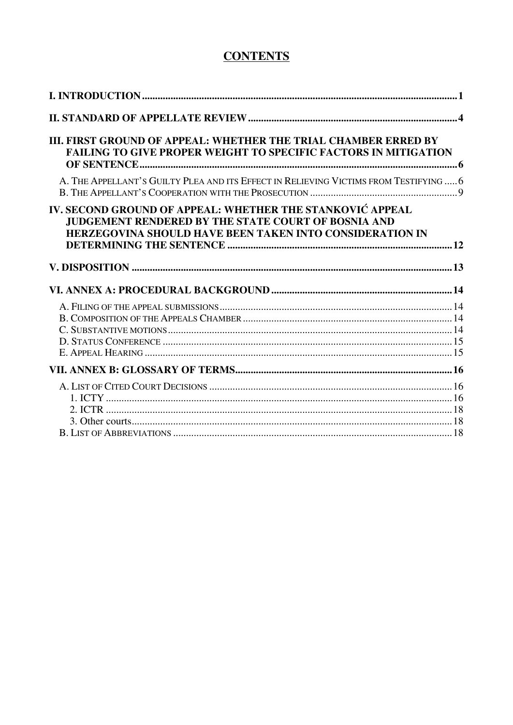# **CONTENTS**

| III. FIRST GROUND OF APPEAL: WHETHER THE TRIAL CHAMBER ERRED BY<br><b>FAILING TO GIVE PROPER WEIGHT TO SPECIFIC FACTORS IN MITIGATION</b>                                    |  |
|------------------------------------------------------------------------------------------------------------------------------------------------------------------------------|--|
| A. THE APPELLANT'S GUILTY PLEA AND ITS EFFECT IN RELIEVING VICTIMS FROM TESTIFYING  6                                                                                        |  |
| IV. SECOND GROUND OF APPEAL: WHETHER THE STANKOVIĆ APPEAL<br>JUDGEMENT RENDERED BY THE STATE COURT OF BOSNIA AND<br>HERZEGOVINA SHOULD HAVE BEEN TAKEN INTO CONSIDERATION IN |  |
|                                                                                                                                                                              |  |
|                                                                                                                                                                              |  |
|                                                                                                                                                                              |  |
|                                                                                                                                                                              |  |
|                                                                                                                                                                              |  |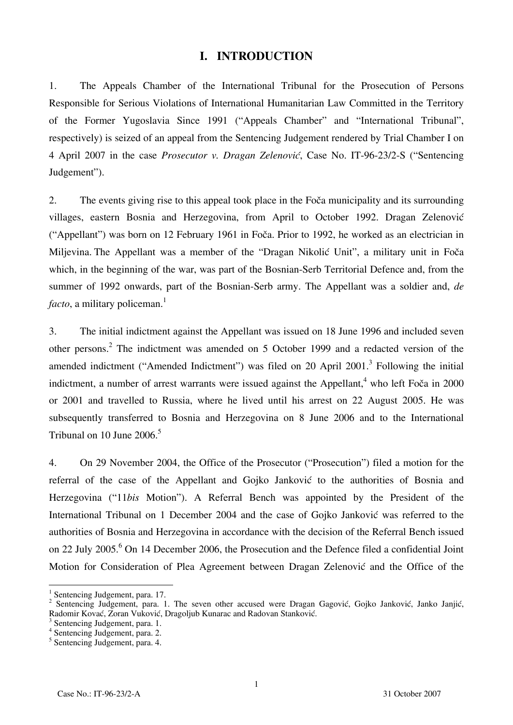## **I. INTRODUCTION**

1. The Appeals Chamber of the International Tribunal for the Prosecution of Persons Responsible for Serious Violations of International Humanitarian Law Committed in the Territory of the Former Yugoslavia Since 1991 ("Appeals Chamber" and "International Tribunal", respectively) is seized of an appeal from the Sentencing Judgement rendered by Trial Chamber I on 4 April 2007 in the case *Prosecutor v. Dragan Zelenović*, Case No. IT-96-23/2-S ("Sentencing Judgement").

2. The events giving rise to this appeal took place in the Foča municipality and its surrounding villages, eastern Bosnia and Herzegovina, from April to October 1992. Dragan Zelenović ("Appellant") was born on 12 February 1961 in Foča. Prior to 1992, he worked as an electrician in Miljevina. The Appellant was a member of the "Dragan Nikolić Unit", a military unit in Foča which, in the beginning of the war, was part of the Bosnian-Serb Territorial Defence and, from the summer of 1992 onwards, part of the Bosnian-Serb army. The Appellant was a soldier and, *de facto*, a military policeman.<sup>1</sup>

3. The initial indictment against the Appellant was issued on 18 June 1996 and included seven other persons.<sup>2</sup> The indictment was amended on 5 October 1999 and a redacted version of the amended indictment ("Amended Indictment") was filed on 20 April 2001.<sup>3</sup> Following the initial indictment, a number of arrest warrants were issued against the Appellant,<sup>4</sup> who left Foča in 2000 or 2001 and travelled to Russia, where he lived until his arrest on 22 August 2005. He was subsequently transferred to Bosnia and Herzegovina on 8 June 2006 and to the International Tribunal on 10 June  $2006$ <sup>5</sup>

4. On 29 November 2004, the Office of the Prosecutor ("Prosecution") filed a motion for the referral of the case of the Appellant and Gojko Janković to the authorities of Bosnia and Herzegovina ("11*bis* Motion"). A Referral Bench was appointed by the President of the International Tribunal on 1 December 2004 and the case of Gojko Janković was referred to the authorities of Bosnia and Herzegovina in accordance with the decision of the Referral Bench issued on 22 July 2005.<sup>6</sup> On 14 December 2006, the Prosecution and the Defence filed a confidential Joint Motion for Consideration of Plea Agreement between Dragan Zelenović and the Office of the

<sup>&</sup>lt;sup>1</sup> Sentencing Judgement, para. 17.

<sup>&</sup>lt;sup>2</sup> Sentencing Judgement, para. 1. The seven other accused were Dragan Gagović, Gojko Janković, Janko Janjić, Radomir Kovać, Zoran Vuković, Dragoljub Kunarac and Radovan Stanković. 3

 $3$  Sentencing Judgement, para. 1.

<sup>4</sup> Sentencing Judgement, para. 2.

<sup>5</sup> Sentencing Judgement, para. 4.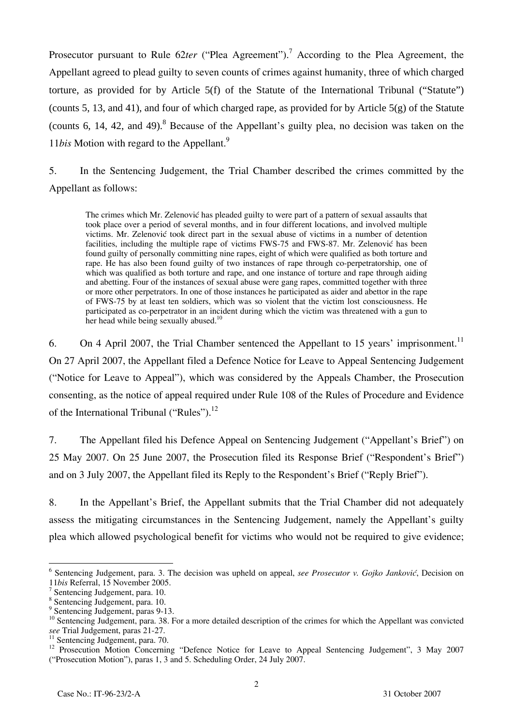Prosecutor pursuant to Rule 62ter ("Plea Agreement").<sup>7</sup> According to the Plea Agreement, the Appellant agreed to plead guilty to seven counts of crimes against humanity, three of which charged torture, as provided for by Article 5(f) of the Statute of the International Tribunal ("Statute") (counts 5, 13, and 41), and four of which charged rape, as provided for by Article 5(g) of the Statute (counts 6, 14, 42, and 49). $8$  Because of the Appellant's guilty plea, no decision was taken on the 11*bis* Motion with regard to the Appellant.9

5. In the Sentencing Judgement, the Trial Chamber described the crimes committed by the Appellant as follows:

The crimes which Mr. Zelenović has pleaded guilty to were part of a pattern of sexual assaults that took place over a period of several months, and in four different locations, and involved multiple victims. Mr. Zelenović took direct part in the sexual abuse of victims in a number of detention facilities, including the multiple rape of victims FWS-75 and FWS-87. Mr. Zelenović has been found guilty of personally committing nine rapes, eight of which were qualified as both torture and rape. He has also been found guilty of two instances of rape through co-perpetratorship, one of which was qualified as both torture and rape, and one instance of torture and rape through aiding and abetting. Four of the instances of sexual abuse were gang rapes, committed together with three or more other perpetrators. In one of those instances he participated as aider and abettor in the rape of FWS-75 by at least ten soldiers, which was so violent that the victim lost consciousness. He participated as co-perpetrator in an incident during which the victim was threatened with a gun to her head while being sexually abused.<sup>10</sup>

6. On 4 April 2007, the Trial Chamber sentenced the Appellant to 15 years' imprisonment.<sup>11</sup> On 27 April 2007, the Appellant filed a Defence Notice for Leave to Appeal Sentencing Judgement ("Notice for Leave to Appeal"), which was considered by the Appeals Chamber, the Prosecution consenting, as the notice of appeal required under Rule 108 of the Rules of Procedure and Evidence of the International Tribunal ("Rules").<sup>12</sup>

7. The Appellant filed his Defence Appeal on Sentencing Judgement ("Appellant's Brief") on 25 May 2007. On 25 June 2007, the Prosecution filed its Response Brief ("Respondent's Brief") and on 3 July 2007, the Appellant filed its Reply to the Respondent's Brief ("Reply Brief").

8. In the Appellant's Brief, the Appellant submits that the Trial Chamber did not adequately assess the mitigating circumstances in the Sentencing Judgement, namely the Appellant's guilty plea which allowed psychological benefit for victims who would not be required to give evidence;

 $\overline{a}$ <sup>6</sup> Sentencing Judgement, para. 3. The decision was upheld on appeal, see Prosecutor v. Gojko Janković, Decision on <sup>11</sup>*bis* Referral, 15 November 2005. 7

Sentencing Judgement, para. 10.

<sup>8</sup> Sentencing Judgement, para. 10.

<sup>9</sup> Sentencing Judgement, paras 9-13.

<sup>&</sup>lt;sup>10</sup> Sentencing Judgement, para. 38. For a more detailed description of the crimes for which the Appellant was convicted *see* Trial Judgement, paras 21-27.

 $\frac{3}{11}$  Sentencing Judgement, para. 70.

<sup>&</sup>lt;sup>12</sup> Prosecution Motion Concerning "Defence Notice for Leave to Appeal Sentencing Judgement", 3 May 2007 ("Prosecution Motion"), paras 1, 3 and 5. Scheduling Order, 24 July 2007.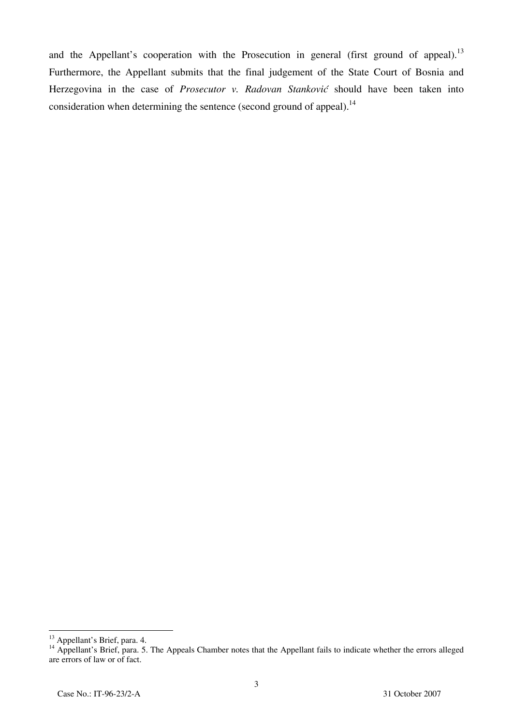and the Appellant's cooperation with the Prosecution in general (first ground of appeal).<sup>13</sup> Furthermore, the Appellant submits that the final judgement of the State Court of Bosnia and Herzegovina in the case of *Prosecutor v. Radovan Stanković* should have been taken into consideration when determining the sentence (second ground of appeal).<sup>14</sup>

 $\overline{\phantom{a}}$ <sup>13</sup> Appellant's Brief, para. 4.

<sup>&</sup>lt;sup>14</sup> Appellant's Brief, para. 5. The Appeals Chamber notes that the Appellant fails to indicate whether the errors alleged are errors of law or of fact.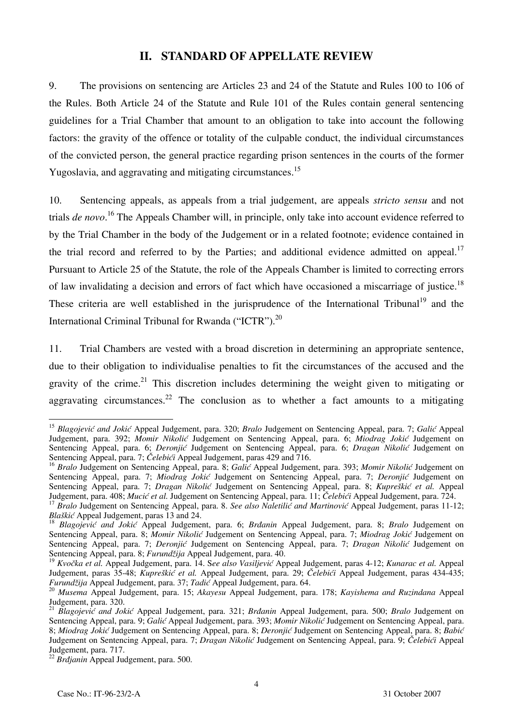## **II. STANDARD OF APPELLATE REVIEW**

9. The provisions on sentencing are Articles 23 and 24 of the Statute and Rules 100 to 106 of the Rules. Both Article 24 of the Statute and Rule 101 of the Rules contain general sentencing guidelines for a Trial Chamber that amount to an obligation to take into account the following factors: the gravity of the offence or totality of the culpable conduct, the individual circumstances of the convicted person, the general practice regarding prison sentences in the courts of the former Yugoslavia, and aggravating and mitigating circumstances.<sup>15</sup>

10. Sentencing appeals, as appeals from a trial judgement, are appeals *stricto sensu* and not trials *de novo*. 16 The Appeals Chamber will, in principle, only take into account evidence referred to by the Trial Chamber in the body of the Judgement or in a related footnote; evidence contained in the trial record and referred to by the Parties; and additional evidence admitted on appeal.<sup>17</sup> Pursuant to Article 25 of the Statute, the role of the Appeals Chamber is limited to correcting errors of law invalidating a decision and errors of fact which have occasioned a miscarriage of justice.<sup>18</sup> These criteria are well established in the jurisprudence of the International Tribunal<sup>19</sup> and the International Criminal Tribunal for Rwanda ("ICTR").<sup>20</sup>

11. Trial Chambers are vested with a broad discretion in determining an appropriate sentence, due to their obligation to individualise penalties to fit the circumstances of the accused and the gravity of the crime.<sup>21</sup> This discretion includes determining the weight given to mitigating or aggravating circumstances.<sup>22</sup> The conclusion as to whether a fact amounts to a mitigating

 $\overline{\phantom{a}}$ 

<sup>&</sup>lt;sup>15</sup> Blagojević and Jokić Appeal Judgement, para. 320; *Bralo* Judgement on Sentencing Appeal, para. 7; *Galić* Appeal Judgement, para. 392; *Momir Nikolić* Judgement on Sentencing Appeal, para. 6; *Miodrag Jokić* Judgement on Sentencing Appeal, para. 6; *Deronjić* Judgement on Sentencing Appeal, para. 6; *Dragan Nikolić* Judgement on Sentencing Appeal, para. 7; *Čelebići* Appeal Judgement, paras 429 and 716.

<sup>16</sup> *Bralo* Judgement on Sentencing Appeal, para. 8; *Galić* Appeal Judgement, para. 393; *Momir Nikolić* Judgement on Sentencing Appeal, para. 7; *Miodrag Jokić* Judgement on Sentencing Appeal, para. 7; *Deronjić* Judgement on Sentencing Appeal, para. 7; *Dragan Nikolić* Judgement on Sentencing Appeal, para. 8; *Kupreškić et al.* Appeal Judgement, para. 408; *Mucić et al.* Judgement on Sentencing Appeal, para. 11; *Čelebići* Appeal Judgement, pa

<sup>&</sup>lt;sup>17</sup> Bralo Judgement on Sentencing Appeal, para. 8. See also Naletilic and Martinovic Appeal Judgement, paras 11-12;<br>Blaškić Appeal Judgement, paras 13 and 24.

<sup>&</sup>lt;sup>18</sup> Blagojević and Jokić Appeal Judgement, para. 6; *Brđanin* Appeal Judgement, para. 8; *Bralo* Judgement on Sentencing Appeal, para. 8; *Momir Nikolić* Judgement on Sentencing Appeal, para. 7; *Miodrag Jokić* Judgement on Sentencing Appeal, para. 7; *Deronjić* Judgement on Sentencing Appeal, para. 7; *Dragan Nikolić* Judgement on Sentencing Appeal, para. 8; *Furundžija* Appeal Judgement, para. 40.

<sup>19</sup> *Kvočka et al.* Appeal Judgement, para. 14. S*ee also Vasiljević* Appeal Judgement, paras 4-12; *Kunarac et al.* Appeal Judgement, paras 35-48; *Kupreškić et al.* Appeal Judgement, para. 29; *Čelebići* Appeal Judgement, paras 434-435; *Furundžija* Appeal Judgement, para. 37; *Tadić* Appeal Judgement, para. 64.

*Furundžija* Appeal Judgement, para. 37; *Tadi<sup>ć</sup>* Appeal Judgement, para. 64. 20 *Musema* Appeal Judgement, para. 15; *Akayesu* Appeal Judgement, para. 178; *Kayishema and Ruzindana* Appeal Judgement, para. 320.

<sup>&</sup>lt;sup>21</sup> Blagojević and Jokić Appeal Judgement, para. 321; *Brdanin* Appeal Judgement, para. 500; *Bralo* Judgement on Sentencing Appeal, para. 9; *Galić* Appeal Judgement, para. 393; *Momir Nikolić* Judgement on Sentencing Appeal, para. 8; *Miodrag Joki}* Judgement on Sentencing Appeal, para. 8; *Deronji}* Judgement on Sentencing Appeal, para. 8; *Babić* Judgement on Sentencing Appeal, para. 7; *Dragan Nikolić* Judgement on Sentencing Appeal, para. 9; *Čelebići* Appeal Judgement, para. 717.

<sup>22</sup> *Brđjanin* Appeal Judgement, para. 500.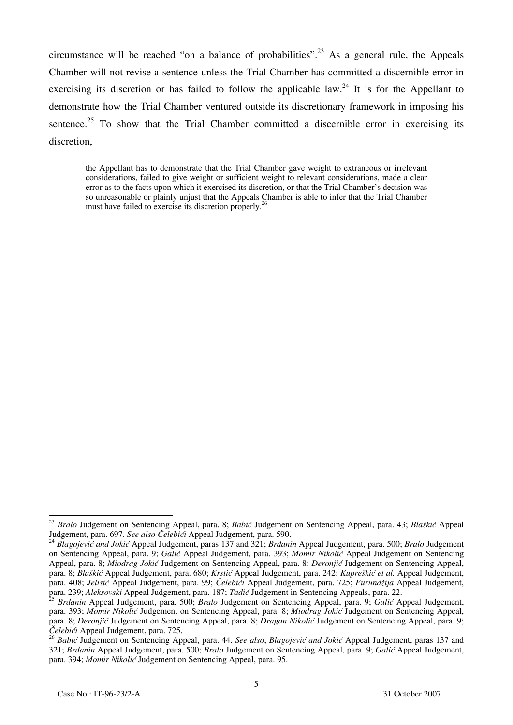circumstance will be reached "on a balance of probabilities".<sup>23</sup> As a general rule, the Appeals Chamber will not revise a sentence unless the Trial Chamber has committed a discernible error in exercising its discretion or has failed to follow the applicable law.<sup>24</sup> It is for the Appellant to demonstrate how the Trial Chamber ventured outside its discretionary framework in imposing his sentence.<sup>25</sup> To show that the Trial Chamber committed a discernible error in exercising its discretion,

the Appellant has to demonstrate that the Trial Chamber gave weight to extraneous or irrelevant considerations, failed to give weight or sufficient weight to relevant considerations, made a clear error as to the facts upon which it exercised its discretion, or that the Trial Chamber's decision was so unreasonable or plainly unjust that the Appeals Chamber is able to infer that the Trial Chamber must have failed to exercise its discretion properly.<sup>26</sup>

 $\overline{1}$ 

<sup>23</sup> *Bralo* Judgement on Sentencing Appeal, para. 8; *Babić* Judgement on Sentencing Appeal, para. 43; *Blaškić* Appeal Judgement, para. 697. See also Čelebići Appeal Judgement, para. 590.<br><sup>24</sup> Blagojević and Jokić Appeal Judgement, paras 137 and 321; Brdanin Appeal Judgement, para. 500; Bralo Judgement

on Sentencing Appeal, para. 9; *Galić* Appeal Judgement, para. 393; *Momir Nikolić* Appeal Judgement on Sentencing Appeal, para. 8; *Miodrag Jokić* Judgement on Sentencing Appeal, para. 8; *Deronjić* Judgement on Sentencing Appeal, para. 8; *Blaškić* Appeal Judgement, para. 680; *Krstić* Appeal Judgement, para. 242; *Kupreškić et al.* Appeal Judgement, para. 408; *Jelisić* Appeal Judgement, para. 99; *Čelebići* Appeal Judgement, para. 725; *Furund`ija* Appeal Judgement, para. 239; *Aleksovski* Appeal Judgement, para. 187; *Tadić* Judgement in Sentencing Appeals, para. 22.

<sup>25</sup> *Br|anin* Appeal Judgement, para. 500; *Bralo* Judgement on Sentencing Appeal, para. 9; *Galić* Appeal Judgement, para. 393; *Momir Nikolić* Judgement on Sentencing Appeal, para. 8; *Miodrag Jokić* Judgement on Sentencing Appeal, para. 8; *Deroniić* Judgement on Sentencing Appeal, para. 8; *Dragan Nikolić* Judgement on Sentencing Appeal, para. 9; *Čelebići* Appeal Judgement, para. 725.

<sup>&</sup>lt;sup>26</sup> Babić Judgement on Sentencing Appeal, para. 44. See also, Blagojević and Jokić Appeal Judgement, paras 137 and 321; *Br|anin* Appeal Judgement, para. 500; *Bralo* Judgement on Sentencing Appeal, para. 9; *Galić* Appeal Judgement, para. 394; *Momir Nikolić* Judgement on Sentencing Appeal, para. 95.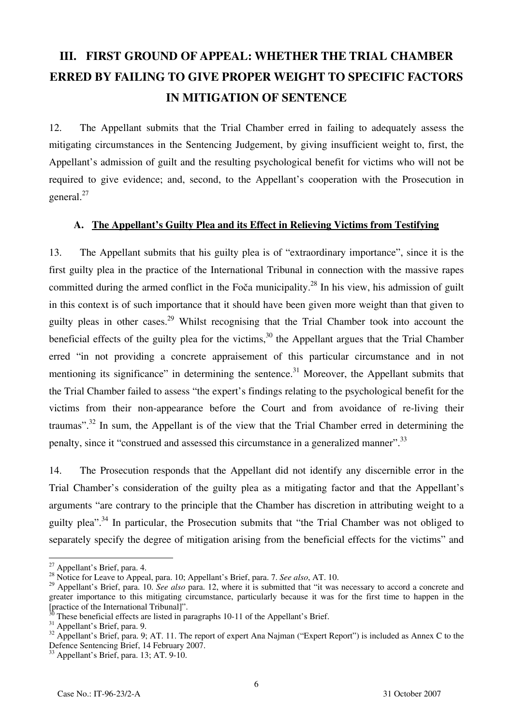# **III. FIRST GROUND OF APPEAL: WHETHER THE TRIAL CHAMBER ERRED BY FAILING TO GIVE PROPER WEIGHT TO SPECIFIC FACTORS IN MITIGATION OF SENTENCE**

12. The Appellant submits that the Trial Chamber erred in failing to adequately assess the mitigating circumstances in the Sentencing Judgement, by giving insufficient weight to, first, the Appellant's admission of guilt and the resulting psychological benefit for victims who will not be required to give evidence; and, second, to the Appellant's cooperation with the Prosecution in general.<sup>27</sup>

#### **A. The Appellant's Guilty Plea and its Effect in Relieving Victims from Testifying**

13. The Appellant submits that his guilty plea is of "extraordinary importance", since it is the first guilty plea in the practice of the International Tribunal in connection with the massive rapes committed during the armed conflict in the Foča municipality.<sup>28</sup> In his view, his admission of guilt in this context is of such importance that it should have been given more weight than that given to guilty pleas in other cases.<sup>29</sup> Whilst recognising that the Trial Chamber took into account the beneficial effects of the guilty plea for the victims,<sup>30</sup> the Appellant argues that the Trial Chamber erred "in not providing a concrete appraisement of this particular circumstance and in not mentioning its significance" in determining the sentence.<sup>31</sup> Moreover, the Appellant submits that the Trial Chamber failed to assess "the expert's findings relating to the psychological benefit for the victims from their non-appearance before the Court and from avoidance of re-living their traumas".<sup>32</sup> In sum, the Appellant is of the view that the Trial Chamber erred in determining the penalty, since it "construed and assessed this circumstance in a generalized manner".<sup>33</sup>

14. The Prosecution responds that the Appellant did not identify any discernible error in the Trial Chamber's consideration of the guilty plea as a mitigating factor and that the Appellant's arguments "are contrary to the principle that the Chamber has discretion in attributing weight to a guilty plea".<sup>34</sup> In particular, the Prosecution submits that "the Trial Chamber was not obliged to separately specify the degree of mitigation arising from the beneficial effects for the victims" and

 $\overline{1}$ 

 $^{27}$  Appellant's Brief, para. 4.

<sup>28</sup> Notice for Leave to Appeal, para. 10; Appellant's Brief, para. 7. *See also*, AT. 10.

<sup>&</sup>lt;sup>29</sup> Appellant's Brief, para. 10. *See also* para. 12, where it is submitted that "it was necessary to accord a concrete and greater importance to this mitigating circumstance, particularly because it was for the first time to happen in the [practice of the International Tribunal]". 30 These beneficial effects are listed in paragraphs 10-11 of the Appellant's Brief.

<sup>&</sup>lt;sup>31</sup> Appellant's Brief, para. 9.

<sup>&</sup>lt;sup>32</sup> Appellant's Brief, para. 9; AT. 11. The report of expert Ana Najman ("Expert Report") is included as Annex C to the Defence Sentencing Brief, 14 February 2007.

<sup>33</sup> Appellant's Brief, para. 13; AT. 9-10.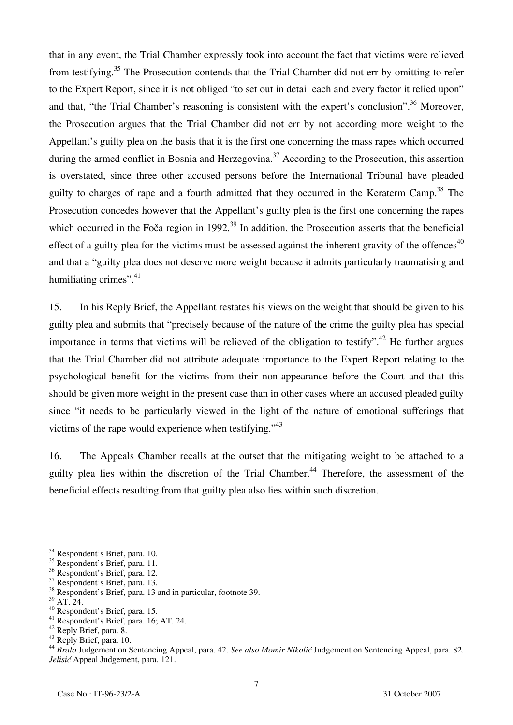that in any event, the Trial Chamber expressly took into account the fact that victims were relieved from testifying.<sup>35</sup> The Prosecution contends that the Trial Chamber did not err by omitting to refer to the Expert Report, since it is not obliged "to set out in detail each and every factor it relied upon" and that, "the Trial Chamber's reasoning is consistent with the expert's conclusion".<sup>36</sup> Moreover, the Prosecution argues that the Trial Chamber did not err by not according more weight to the Appellant's guilty plea on the basis that it is the first one concerning the mass rapes which occurred during the armed conflict in Bosnia and Herzegovina.<sup>37</sup> According to the Prosecution, this assertion is overstated, since three other accused persons before the International Tribunal have pleaded guilty to charges of rape and a fourth admitted that they occurred in the Keraterm Camp.<sup>38</sup> The Prosecution concedes however that the Appellant's guilty plea is the first one concerning the rapes which occurred in the Foča region in 1992.<sup>39</sup> In addition, the Prosecution asserts that the beneficial effect of a guilty plea for the victims must be assessed against the inherent gravity of the offences $40$ and that a "guilty plea does not deserve more weight because it admits particularly traumatising and humiliating crimes".<sup>41</sup>

15. In his Reply Brief, the Appellant restates his views on the weight that should be given to his guilty plea and submits that "precisely because of the nature of the crime the guilty plea has special importance in terms that victims will be relieved of the obligation to testify".<sup>42</sup> He further argues that the Trial Chamber did not attribute adequate importance to the Expert Report relating to the psychological benefit for the victims from their non-appearance before the Court and that this should be given more weight in the present case than in other cases where an accused pleaded guilty since "it needs to be particularly viewed in the light of the nature of emotional sufferings that victims of the rape would experience when testifying."<sup>43</sup>

16. The Appeals Chamber recalls at the outset that the mitigating weight to be attached to a guilty plea lies within the discretion of the Trial Chamber.<sup>44</sup> Therefore, the assessment of the beneficial effects resulting from that guilty plea also lies within such discretion.

- <sup>38</sup> Respondent's Brief, para. 13 and in particular, footnote 39.
- $39$  AT. 24.

 $\overline{a}$ 

<sup>&</sup>lt;sup>34</sup> Respondent's Brief, para. 10.

<sup>&</sup>lt;sup>35</sup> Respondent's Brief, para. 11.

<sup>36</sup> Respondent's Brief, para. 12.

<sup>37</sup> Respondent's Brief, para. 13.

<sup>40</sup> Respondent's Brief, para. 15.

<sup>41</sup> Respondent's Brief, para. 16; AT. 24.

<sup>&</sup>lt;sup>42</sup> Reply Brief, para. 8.

 $^{43}$  Reply Brief, para. 10.

<sup>&</sup>lt;sup>44</sup> Bralo Judgement on Sentencing Appeal, para. 42. See also Momir Nikolić Judgement on Sentencing Appeal, para. 82. *Jelisić* Appeal Judgement, para. 121.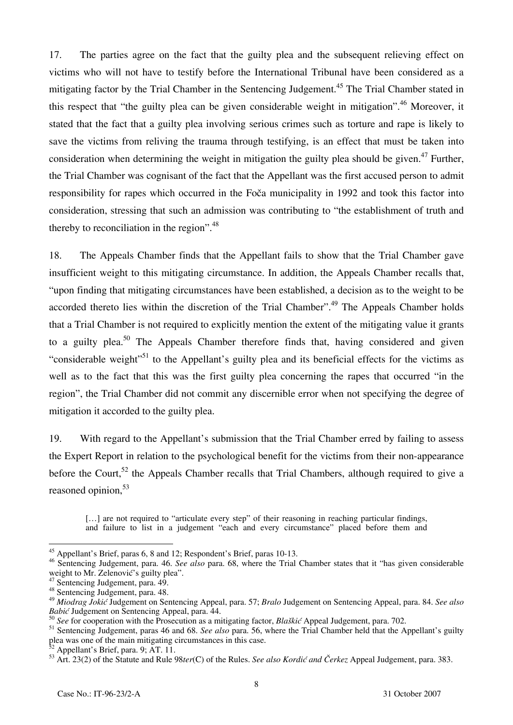17. The parties agree on the fact that the guilty plea and the subsequent relieving effect on victims who will not have to testify before the International Tribunal have been considered as a mitigating factor by the Trial Chamber in the Sentencing Judgement.<sup>45</sup> The Trial Chamber stated in this respect that "the guilty plea can be given considerable weight in mitigation".<sup>46</sup> Moreover, it stated that the fact that a guilty plea involving serious crimes such as torture and rape is likely to save the victims from reliving the trauma through testifying, is an effect that must be taken into consideration when determining the weight in mitigation the guilty plea should be given.<sup>47</sup> Further, the Trial Chamber was cognisant of the fact that the Appellant was the first accused person to admit responsibility for rapes which occurred in the Foča municipality in 1992 and took this factor into consideration, stressing that such an admission was contributing to "the establishment of truth and thereby to reconciliation in the region".<sup>48</sup>

18. The Appeals Chamber finds that the Appellant fails to show that the Trial Chamber gave insufficient weight to this mitigating circumstance. In addition, the Appeals Chamber recalls that, "upon finding that mitigating circumstances have been established, a decision as to the weight to be accorded thereto lies within the discretion of the Trial Chamber".<sup>49</sup> The Appeals Chamber holds that a Trial Chamber is not required to explicitly mention the extent of the mitigating value it grants to a guilty plea.<sup>50</sup> The Appeals Chamber therefore finds that, having considered and given "considerable weight"<sup>51</sup> to the Appellant's guilty plea and its beneficial effects for the victims as well as to the fact that this was the first guilty plea concerning the rapes that occurred "in the region", the Trial Chamber did not commit any discernible error when not specifying the degree of mitigation it accorded to the guilty plea.

19. With regard to the Appellant's submission that the Trial Chamber erred by failing to assess the Expert Report in relation to the psychological benefit for the victims from their non-appearance before the Court,<sup>52</sup> the Appeals Chamber recalls that Trial Chambers, although required to give a reasoned opinion,<sup>53</sup>

[...] are not required to "articulate every step" of their reasoning in reaching particular findings, and failure to list in a judgement "each and every circumstance" placed before them and

 $\overline{\phantom{a}}$ <sup>45</sup> Appellant's Brief, paras 6, 8 and 12; Respondent's Brief, paras 10-13.

<sup>46</sup> Sentencing Judgement, para. 46. *See also* para. 68, where the Trial Chamber states that it "has given considerable weight to Mr. Zelenović's guilty plea".

<sup>47</sup> Sentencing Judgement, para. 49.

<sup>48</sup> Sentencing Judgement, para. 48.

<sup>&</sup>lt;sup>49</sup> Miodrag Jokić Judgement on Sentencing Appeal, para. 57; *Bralo* Judgement on Sentencing Appeal, para. 84. See also *Babić* Judgement on Sentencing Appeal, para. 44.

<sup>50</sup> *See* for cooperation with the Prosecution as a mitigating factor, *Blaškić* Appeal Judgement, para. 702.

<sup>51</sup> Sentencing Judgement, paras 46 and 68. *See also* para. 56, where the Trial Chamber held that the Appellant's guilty plea was one of the main mitigating circumstances in this case.

Appellant's Brief, para. 9; AT. 11.

<sup>&</sup>lt;sup>53</sup> Art. 23(2) of the Statute and Rule 98*ter*(C) of the Rules. *See also Kordić and Čerkez* Appeal Judgement, para. 383.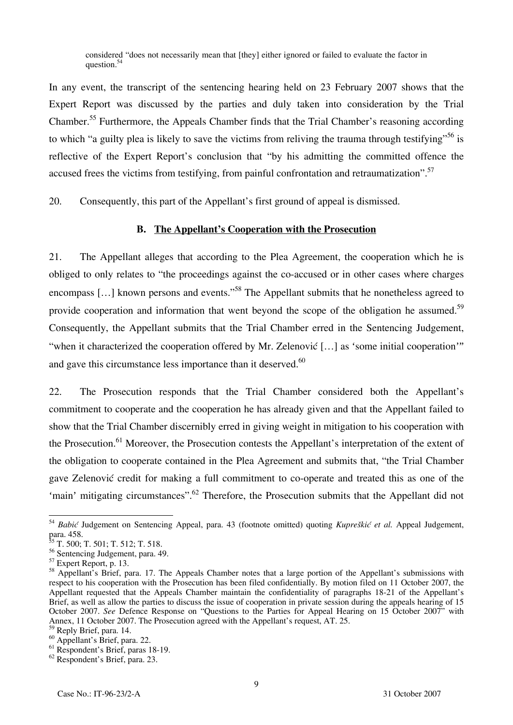considered "does not necessarily mean that [they] either ignored or failed to evaluate the factor in question.<sup>54</sup>

In any event, the transcript of the sentencing hearing held on 23 February 2007 shows that the Expert Report was discussed by the parties and duly taken into consideration by the Trial Chamber.<sup>55</sup> Furthermore, the Appeals Chamber finds that the Trial Chamber's reasoning according to which "a guilty plea is likely to save the victims from reliving the trauma through testifying"<sup>56</sup> is reflective of the Expert Report's conclusion that "by his admitting the committed offence the accused frees the victims from testifying, from painful confrontation and retraumatization".<sup>57</sup>

20. Consequently, this part of the Appellant's first ground of appeal is dismissed.

#### **B. The Appellant's Cooperation with the Prosecution**

21. The Appellant alleges that according to the Plea Agreement, the cooperation which he is obliged to only relates to "the proceedings against the co-accused or in other cases where charges encompass [...] known persons and events."<sup>58</sup> The Appellant submits that he nonetheless agreed to provide cooperation and information that went beyond the scope of the obligation he assumed.<sup>59</sup> Consequently, the Appellant submits that the Trial Chamber erred in the Sentencing Judgement, "when it characterized the cooperation offered by Mr. Zelenović [...] as 'some initial cooperation'" and gave this circumstance less importance than it deserved.<sup>60</sup>

22. The Prosecution responds that the Trial Chamber considered both the Appellant's commitment to cooperate and the cooperation he has already given and that the Appellant failed to show that the Trial Chamber discernibly erred in giving weight in mitigation to his cooperation with the Prosecution.<sup>61</sup> Moreover, the Prosecution contests the Appellant's interpretation of the extent of the obligation to cooperate contained in the Plea Agreement and submits that, "the Trial Chamber gave Zelenović credit for making a full commitment to co-operate and treated this as one of the 'main' mitigating circumstances".<sup>62</sup> Therefore, the Prosecution submits that the Appellant did not

 $\overline{a}$ 

<sup>&</sup>lt;sup>54</sup> Babić Judgement on Sentencing Appeal, para. 43 (footnote omitted) quoting *Kupreškić et al.* Appeal Judgement, para. 458.

 $^{55}$  T. 500; T. 501; T. 512; T. 518.

<sup>56</sup> Sentencing Judgement, para. 49.

<sup>&</sup>lt;sup>57</sup> Expert Report, p. 13.

<sup>&</sup>lt;sup>58</sup> Appellant's Brief, para. 17. The Appeals Chamber notes that a large portion of the Appellant's submissions with respect to his cooperation with the Prosecution has been filed confidentially. By motion filed on 11 October 2007, the Appellant requested that the Appeals Chamber maintain the confidentiality of paragraphs 18-21 of the Appellant's Brief, as well as allow the parties to discuss the issue of cooperation in private session during the appeals hearing of 15 October 2007. *See* Defence Response on "Questions to the Parties for Appeal Hearing on 15 October 2007" with Annex, 11 October 2007. The Prosecution agreed with the Appellant's request, AT. 25.

<sup>59</sup> Reply Brief, para. 14.

<sup>60</sup> Appellant's Brief, para. 22.

<sup>&</sup>lt;sup>61</sup> Respondent's Brief, paras 18-19.

<sup>62</sup> Respondent's Brief, para. 23.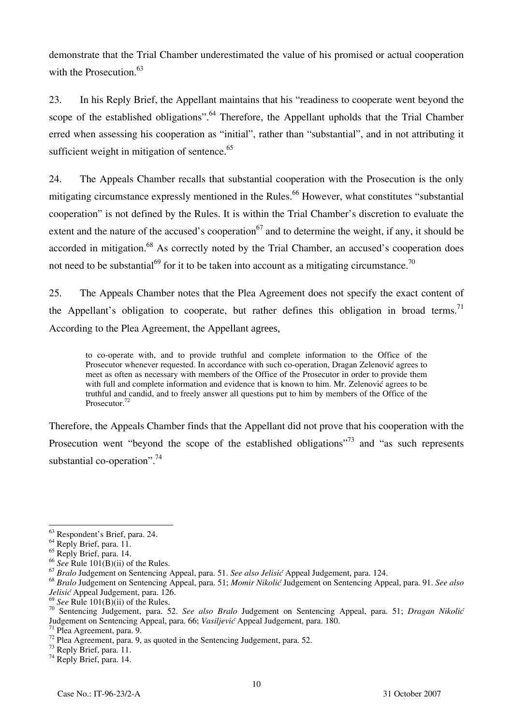demonstrate that the Trial Chamber underestimated the value of his promised or actual cooperation with the Prosecution. $63$ 

23. In his Reply Brief, the Appellant maintains that his "readiness to cooperate went beyond the scope of the established obligations".<sup>64</sup> Therefore, the Appellant upholds that the Trial Chamber erred when assessing his cooperation as "initial", rather than "substantial", and in not attributing it sufficient weight in mitigation of sentence.<sup>65</sup>

24. The Appeals Chamber recalls that substantial cooperation with the Prosecution is the only mitigating circumstance expressly mentioned in the Rules.<sup>66</sup> However, what constitutes "substantial" cooperation" is not defined by the Rules. It is within the Trial Chamber's discretion to evaluate the extent and the nature of the accused's cooperation<sup>67</sup> and to determine the weight, if any, it should be accorded in mitigation.<sup>68</sup> As correctly noted by the Trial Chamber, an accused's cooperation does not need to be substantial<sup>69</sup> for it to be taken into account as a mitigating circumstance.<sup>70</sup>

25. The Appeals Chamber notes that the Plea Agreement does not specify the exact content of the Appellant's obligation to cooperate, but rather defines this obligation in broad terms.<sup>71</sup> According to the Plea Agreement, the Appellant agrees,

to co-operate with, and to provide truthful and complete information to the Office of the Prosecutor whenever requested. In accordance with such co-operation, Dragan Zelenović agrees to meet as often as necessary with members of the Office of the Prosecutor in order to provide them with full and complete information and evidence that is known to him. Mr. Zelenovic agrees to be truthful and candid, and to freely answer all questions put to him by members of the Office of the Prosecutor.<sup>72</sup>

Therefore, the Appeals Chamber finds that the Appellant did not prove that his cooperation with the Prosecution went "beyond the scope of the established obligations"<sup>73</sup> and "as such represents" substantial co-operation". $74$ 

 $\overline{a}$ <sup>63</sup> Respondent's Brief, para. 24.

 $64$  Reply Brief, para. 11.

<sup>&</sup>lt;sup>65</sup> Reply Brief, para. 14.

 $66$  See Rule 101(B)(ii) of the Rules.

<sup>&</sup>lt;sup>67</sup> Bralo Judgement on Sentencing Appeal, para. 51. See also Jelisić Appeal Judgement, para. 124.

<sup>&</sup>lt;sup>68</sup> Bralo Judgement on Sentencing Appeal, para. 51; *Momir Nikolić* Judgement on Sentencing Appeal, para. 91. See also *Jelisić* Appeal Judgement, para. 126.<br><sup>69</sup> See Rule 101(B)(ii) of the Rules.

<sup>69</sup> *See* Rule 101(B)(ii) of the Rules. 70 Sentencing Judgement, para. 52. *See also Bralo* Judgement on Sentencing Appeal, para. 51; *Dragan Nikoli}*  Judgement on Sentencing Appeal, para. 66; *Vasiljevi<sup>ć</sup>* Appeal Judgement, para. 180. 71 Plea Agreement, para. 9.

 $\frac{72}{72}$  Plea Agreement, para. 9, as quoted in the Sentencing Judgement, para. 52.<br> $\frac{73}{73}$  Reply Brief, para. 11.

<sup>&</sup>lt;sup>74</sup> Reply Brief, para. 14.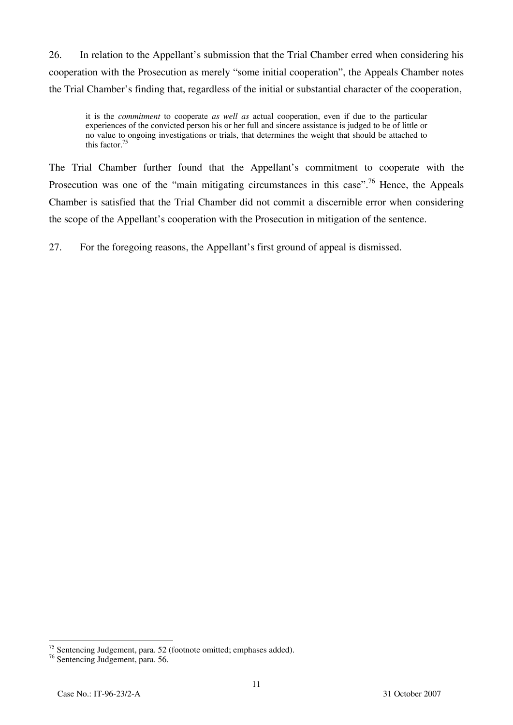26. In relation to the Appellant's submission that the Trial Chamber erred when considering his cooperation with the Prosecution as merely "some initial cooperation", the Appeals Chamber notes the Trial Chamber's finding that, regardless of the initial or substantial character of the cooperation,

it is the *commitment* to cooperate *as well as* actual cooperation, even if due to the particular experiences of the convicted person his or her full and sincere assistance is judged to be of little or no value to ongoing investigations or trials, that determines the weight that should be attached to this factor.75

The Trial Chamber further found that the Appellant's commitment to cooperate with the Prosecution was one of the "main mitigating circumstances in this case".<sup>76</sup> Hence, the Appeals Chamber is satisfied that the Trial Chamber did not commit a discernible error when considering the scope of the Appellant's cooperation with the Prosecution in mitigation of the sentence.

27. For the foregoing reasons, the Appellant's first ground of appeal is dismissed.

 $\overline{a}$ 

 $75$  Sentencing Judgement, para. 52 (footnote omitted; emphases added).

<sup>76</sup> Sentencing Judgement, para. 56.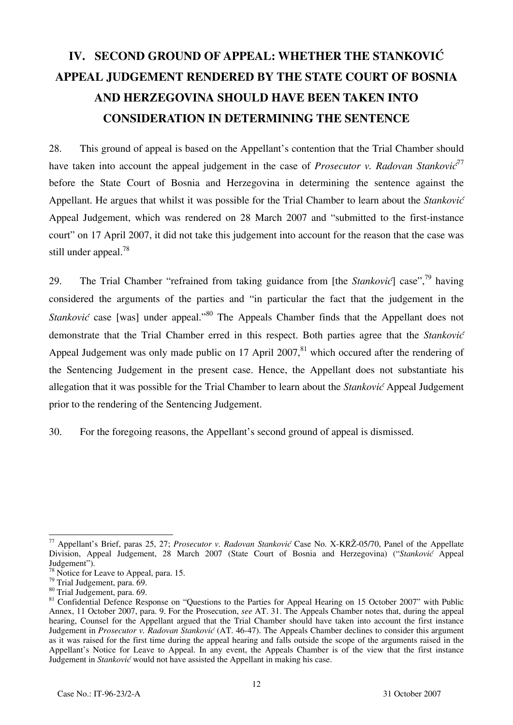# **IV. SECOND GROUND OF APPEAL: WHETHER THE STANKOVIC APPEAL JUDGEMENT RENDERED BY THE STATE COURT OF BOSNIA AND HERZEGOVINA SHOULD HAVE BEEN TAKEN INTO CONSIDERATION IN DETERMINING THE SENTENCE**

28. This ground of appeal is based on the Appellant's contention that the Trial Chamber should have taken into account the appeal judgement in the case of *Prosecutor v. Radovan Stankovic*<sup>77</sup> before the State Court of Bosnia and Herzegovina in determining the sentence against the Appellant. He argues that whilst it was possible for the Trial Chamber to learn about the *Stanković* Appeal Judgement, which was rendered on 28 March 2007 and "submitted to the first-instance court" on 17 April 2007, it did not take this judgement into account for the reason that the case was still under appeal.<sup>78</sup>

29. The Trial Chamber "refrained from taking guidance from [the *Stanković*] case",<sup>79</sup> having considered the arguments of the parties and "in particular the fact that the judgement in the *Stanković* case [was] under appeal."<sup>80</sup> The Appeals Chamber finds that the Appellant does not demonstrate that the Trial Chamber erred in this respect. Both parties agree that the *Stanković* Appeal Judgement was only made public on 17 April 2007,<sup>81</sup> which occured after the rendering of the Sentencing Judgement in the present case. Hence, the Appellant does not substantiate his allegation that it was possible for the Trial Chamber to learn about the *Stanković* Appeal Judgement prior to the rendering of the Sentencing Judgement.

30. For the foregoing reasons, the Appellant's second ground of appeal is dismissed.

 $\overline{a}$ <sup>77</sup> Appellant's Brief, paras 25, 27; *Prosecutor v. Radovan Stanković* Case No. X-KRŽ-05/70, Panel of the Appellate Division, Appeal Judgement, 28 March 2007 (State Court of Bosnia and Herzegovina) ("Stanković Appeal Judgement").

<sup>&</sup>lt;sup>78</sup> Notice for Leave to Appeal, para. 15.

<sup>79</sup> Trial Judgement, para. 69.

<sup>80</sup> Trial Judgement, para. 69.

<sup>&</sup>lt;sup>81</sup> Confidential Defence Response on "Questions to the Parties for Appeal Hearing on 15 October 2007" with Public Annex, 11 October 2007, para. 9. For the Prosecution, *see* AT. 31. The Appeals Chamber notes that, during the appeal hearing, Counsel for the Appellant argued that the Trial Chamber should have taken into account the first instance Judgement in *Prosecutor v. Radovan Stanković* (AT. 46-47). The Appeals Chamber declines to consider this argument as it was raised for the first time during the appeal hearing and falls outside the scope of the arguments raised in the Appellant's Notice for Leave to Appeal. In any event, the Appeals Chamber is of the view that the first instance Judgement in *Stanković* would not have assisted the Appellant in making his case.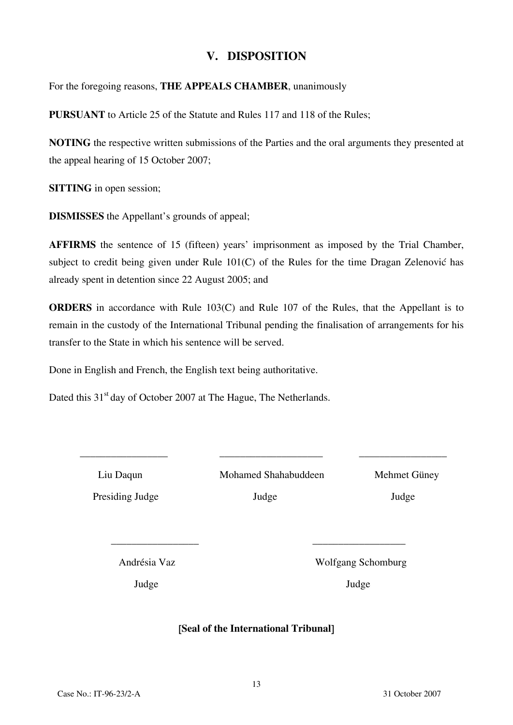## **V. DISPOSITION**

For the foregoing reasons, **THE APPEALS CHAMBER**, unanimously

**PURSUANT** to Article 25 of the Statute and Rules 117 and 118 of the Rules;

**NOTING** the respective written submissions of the Parties and the oral arguments they presented at the appeal hearing of 15 October 2007;

**SITTING** in open session;

**DISMISSES** the Appellant's grounds of appeal;

**AFFIRMS** the sentence of 15 (fifteen) years' imprisonment as imposed by the Trial Chamber, subject to credit being given under Rule 101(C) of the Rules for the time Dragan Zelenović has already spent in detention since 22 August 2005; and

**ORDERS** in accordance with Rule 103(C) and Rule 107 of the Rules, that the Appellant is to remain in the custody of the International Tribunal pending the finalisation of arrangements for his transfer to the State in which his sentence will be served.

Done in English and French, the English text being authoritative.

Dated this 31<sup>st</sup> day of October 2007 at The Hague, The Netherlands.

 Liu Daqun Mohamed Shahabuddeen Mehmet Güney Presiding Judge Judge Judge Judge Judge Judge Judge Judge Judge Judge Judge Judge Judge Judge Judge Judge Judge Judge Judge Judge Judge Judge Judge Judge Judge Judge Judge Judge Judge Judge Judge Judge Judge Judge Judge Ju

\_\_\_\_\_\_\_\_\_\_\_\_\_\_\_\_\_ \_\_\_\_\_\_\_\_\_\_\_\_\_\_\_\_\_\_\_\_ \_\_\_\_\_\_\_\_\_\_\_\_\_\_\_\_\_

Andrésia Vaz Wolfgang Schomburg

Judge Judge

## [**Seal of the International Tribunal**]

 $\mathcal{L}_\text{max}$  , and the contract of the contract of the contract of the contract of the contract of the contract of the contract of the contract of the contract of the contract of the contract of the contract of the contr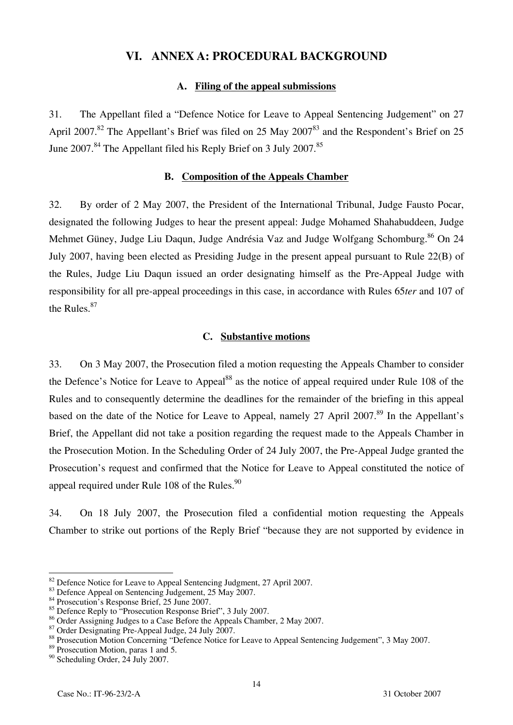## **VI. ANNEX A: PROCEDURAL BACKGROUND**

#### **A. Filing of the appeal submissions**

31. The Appellant filed a "Defence Notice for Leave to Appeal Sentencing Judgement" on 27 April 2007.<sup>82</sup> The Appellant's Brief was filed on 25 May 2007<sup>83</sup> and the Respondent's Brief on 25 June  $2007$ .<sup>84</sup> The Appellant filed his Reply Brief on 3 July  $2007$ .<sup>85</sup>

#### **B. Composition of the Appeals Chamber**

32. By order of 2 May 2007, the President of the International Tribunal, Judge Fausto Pocar, designated the following Judges to hear the present appeal: Judge Mohamed Shahabuddeen, Judge Mehmet Güney, Judge Liu Daqun, Judge Andrésia Vaz and Judge Wolfgang Schomburg.<sup>86</sup> On 24 July 2007, having been elected as Presiding Judge in the present appeal pursuant to Rule 22(B) of the Rules, Judge Liu Daqun issued an order designating himself as the Pre-Appeal Judge with responsibility for all pre-appeal proceedings in this case, in accordance with Rules 65*ter* and 107 of the Rules.<sup>87</sup>

#### **C. Substantive motions**

33. On 3 May 2007, the Prosecution filed a motion requesting the Appeals Chamber to consider the Defence's Notice for Leave to Appeal<sup>88</sup> as the notice of appeal required under Rule 108 of the Rules and to consequently determine the deadlines for the remainder of the briefing in this appeal based on the date of the Notice for Leave to Appeal, namely 27 April 2007.<sup>89</sup> In the Appellant's Brief, the Appellant did not take a position regarding the request made to the Appeals Chamber in the Prosecution Motion. In the Scheduling Order of 24 July 2007, the Pre-Appeal Judge granted the Prosecution's request and confirmed that the Notice for Leave to Appeal constituted the notice of appeal required under Rule 108 of the Rules. $90$ 

34. On 18 July 2007, the Prosecution filed a confidential motion requesting the Appeals Chamber to strike out portions of the Reply Brief "because they are not supported by evidence in

 $\overline{a}$ <sup>82</sup> Defence Notice for Leave to Appeal Sentencing Judgment, 27 April 2007.<br><sup>83</sup> Defence Appeal on Sentencing Judgement, 25 May 2007.

<sup>&</sup>lt;sup>84</sup> Prosecution's Response Brief, 25 June 2007.

<sup>&</sup>lt;sup>85</sup> Defence Reply to "Prosecution Response Brief", 3 July 2007.

<sup>&</sup>lt;sup>86</sup> Order Assigning Judges to a Case Before the Appeals Chamber, 2 May 2007.

<sup>87</sup> Order Designating Pre-Appeal Judge, 24 July 2007.

<sup>88</sup> Prosecution Motion Concerning "Defence Notice for Leave to Appeal Sentencing Judgement", 3 May 2007.

<sup>89</sup> Prosecution Motion, paras 1 and 5.

<sup>90</sup> Scheduling Order, 24 July 2007.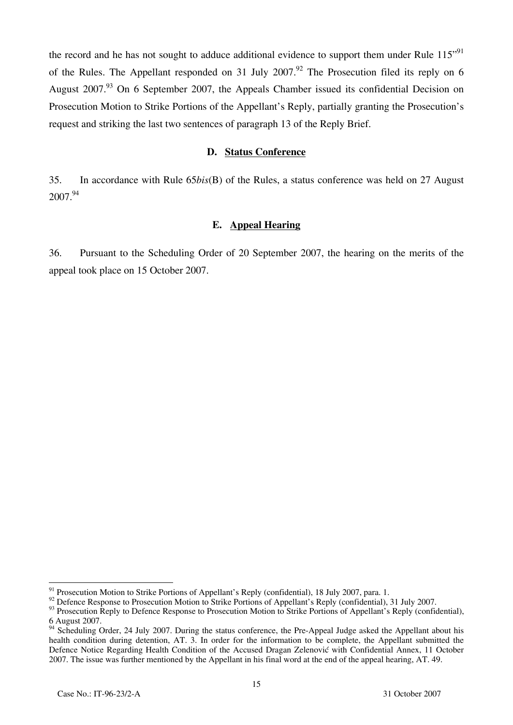the record and he has not sought to adduce additional evidence to support them under Rule 115"<sup>91</sup> of the Rules. The Appellant responded on 31 July 2007.<sup>92</sup> The Prosecution filed its reply on 6 August 2007.<sup>93</sup> On 6 September 2007, the Appeals Chamber issued its confidential Decision on Prosecution Motion to Strike Portions of the Appellant's Reply, partially granting the Prosecution's request and striking the last two sentences of paragraph 13 of the Reply Brief.

#### **D. Status Conference**

35. In accordance with Rule 65*bis*(B) of the Rules, a status conference was held on 27 August 2007.<sup>94</sup>

#### **E. Appeal Hearing**

36. Pursuant to the Scheduling Order of 20 September 2007, the hearing on the merits of the appeal took place on 15 October 2007.

 $\overline{a}$ 

<sup>&</sup>lt;sup>91</sup> Prosecution Motion to Strike Portions of Appellant's Reply (confidential), 18 July 2007, para. 1.

<sup>&</sup>lt;sup>92</sup> Defence Response to Prosecution Motion to Strike Portions of Appellant's Reply (confidential), 31 July 2007.

<sup>&</sup>lt;sup>93</sup> Prosecution Reply to Defence Response to Prosecution Motion to Strike Portions of Appellant's Reply (confidential), 6 August 2007.

 $\frac{94}{94}$  Scheduling Order, 24 July 2007. During the status conference, the Pre-Appeal Judge asked the Appellant about his health condition during detention, AT. 3. In order for the information to be complete, the Appellant submitted the Defence Notice Regarding Health Condition of the Accused Dragan Zelenović with Confidential Annex, 11 October 2007. The issue was further mentioned by the Appellant in his final word at the end of the appeal hearing, AT. 49.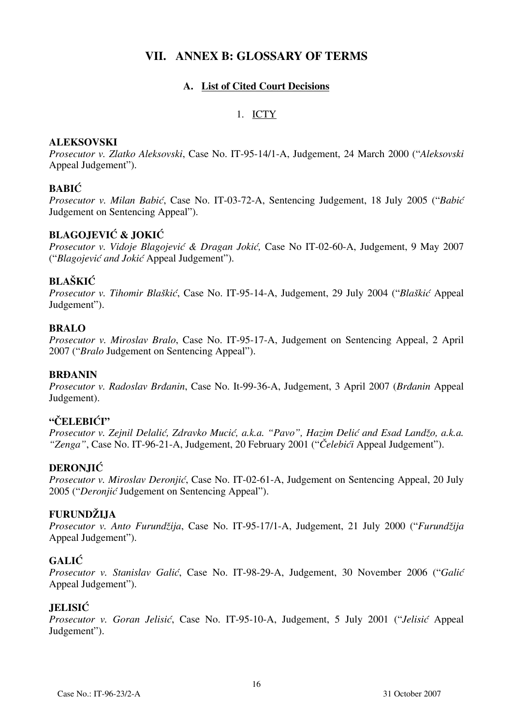## **VII. ANNEX B: GLOSSARY OF TERMS**

## **A. List of Cited Court Decisions**

#### 1. ICTY

#### **ALEKSOVSKI**

*Prosecutor v. Zlatko Aleksovski*, Case No. IT-95-14/1-A, Judgement, 24 March 2000 ("*Aleksovski* Appeal Judgement").

## **BABIĆ**

*Prosecutor v. Milan Babić*, Case No. IT-03-72-A, Sentencing Judgement, 18 July 2005 ("*Babić* Judgement on Sentencing Appeal").

## **BLAGOJEVIĆ & JOKIĆ**

*Prosecutor v. Vidoje Blagojeviæ & Dragan Jokiæ,* Case No IT-02-60-A, Judgement, 9 May 2007 ("*Blagojević and Jokić* Appeal Judgement").

## **BLAŠKIĆ**

*Prosecutor v. Tihomir Blaškić*, Case No. IT-95-14-A, Judgement, 29 July 2004 ("*Blaškić* Appeal Judgement").

## **BRALO**

*Prosecutor v. Miroslav Bralo*, Case No. IT-95-17-A, Judgement on Sentencing Appeal, 2 April 2007 ("*Bralo* Judgement on Sentencing Appeal").

#### **BRĐANIN**

*Prosecutor v. Radoslav Brđanin*, Case No. It-99-36-A, Judgement, 3 April 2007 (*Brđanin* Appeal Judgement).

## **"ČELEBIĆI"**

*Prosecutor v. Zejnil Delalić, Zdravko Mucić, a.k.a. "Pavo", Hazim Delić and Esad Landžo, a.k.a. "Zenga"*, Case No. IT-96-21-A, Judgement, 20 February 2001 ("*Čelebići* Appeal Judgement").

## **DERONJIĆ**

*Prosecutor v. Miroslav Deronjić*, Case No. IT-02-61-A, Judgement on Sentencing Appeal, 20 July 2005 ("*Deronjić* Judgement on Sentencing Appeal").

#### **FURUNDŽIJA**

*Prosecutor v. Anto Furundžija*, Case No. IT-95-17/1-A, Judgement, 21 July 2000 ("*Furundžija* Appeal Judgement").

## **GALIĆ**

*Prosecutor v. Stanislav Galić*, Case No. IT-98-29-A, Judgement, 30 November 2006 ("*Galić* Appeal Judgement").

#### **JELISIĆ**

*Prosecutor v. Goran Jelisić*, Case No. IT-95-10-A, Judgement, 5 July 2001 ("*Jelisić* Appeal Judgement").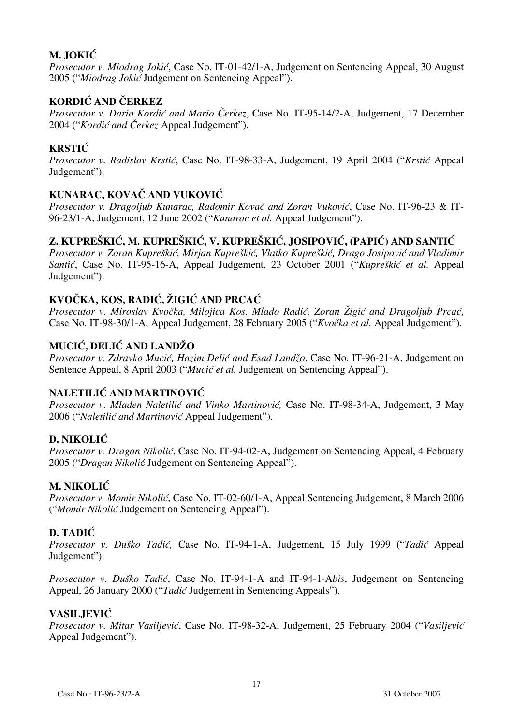## **M. JOKIĆ**

*Prosecutor v. Miodrag Jokić*, Case No. IT-01-42/1-A, Judgement on Sentencing Appeal, 30 August 2005 ("*Miodrag Jokić* Judgement on Sentencing Appeal").

## **KORDIĆ AND ČERKEZ**

*Prosecutor v. Dario Kordić and Mario Čerkez*, Case No. IT-95-14/2-A, Judgement, 17 December 2004 ("*Kordić and Čerkez* Appeal Judgement").

## **KRSTIĆ**

*Prosecutor v. Radislav Krstić*, Case No. IT-98-33-A, Judgement, 19 April 2004 ("*Krstić* Appeal Judgement").

## **KUNARAC, KOVAČ AND VUKOVIĆ**

*Prosecutor v. Dragoljub Kunarac, Radomir Kovač and Zoran Vuković*, Case No. IT-96-23 & IT-96-23/1-A, Judgement, 12 June 2002 ("*Kunarac et al.* Appeal Judgement").

## $Z$ , KUPREŠKIĆ, M. KUPREŠKIĆ, V. KUPREŠKIĆ, JOSIPOVIĆ, (PAPIĆ) AND SANTIĆ

*Prosecutor v. Zoran Kupreškić, Mirjan Kupreškić, Vlatko Kupreškić, Drago Josipović and Vladimir Santi}*, Case No. IT-95-16-A, Appeal Judgement, 23 October 2001 ("*Kupreškić et al.* Appeal Judgement").

## **KVOČKA, KOS, RADIĆ, ŽIGIĆ AND PRCAĆ**

Prosecutor v. Miroslav Kvočka, Milojica Kos, Mlado Radić, Zoran Žigić and Dragoljub Prcać, Case No. IT-98-30/1-A, Appeal Judgement, 28 February 2005 ("*Kvoèka et al.* Appeal Judgement").

## **MUCIĆ, DELIĆ AND LANDŽO**

*Prosecutor v. Zdravko Mucić, Hazim Delić and Esad Landžo*, Case No. IT-96-21-A, Judgement on Sentence Appeal, 8 April 2003 ("*Mucić et al.* Judgement on Sentencing Appeal").

## **NALETILIĆ AND MARTINOVIĆ**

*Prosecutor v. Mladen Naletilić and Vinko Martinović*, Case No. IT-98-34-A, Judgement, 3 May 2006 ("*Naletilić and Martinović* Appeal Judgement").

## **D. NIKOLIĆ**

*Prosecutor v. Dragan Nikolić*, Case No. IT-94-02-A, Judgement on Sentencing Appeal, 4 February 2005 ("*Dragan Nikoli*ć Judgement on Sentencing Appeal").

## **M. NIKOLIĆ**

*Prosecutor v. Momir Nikolić*, Case No. IT-02-60/1-A, Appeal Sentencing Judgement, 8 March 2006 ("*Momir Nikolić* Judgement on Sentencing Appeal").

## **D. TADIĆ**

*Prosecutor v. Duško Tadić,* Case No. IT-94-1-A, Judgement, 15 July 1999 ("*Tadić* Appeal Judgement").

*Prosecutor v. Duško Tadić*, Case No. IT-94-1-A and IT-94-1-A*bis*, Judgement on Sentencing Appeal, 26 January 2000 ("*Tadić* Judgement in Sentencing Appeals").

## **VASILJEVIĆ**

*Prosecutor v. Mitar Vasiljević*, Case No. IT-98-32-A, Judgement, 25 February 2004 ("*Vasiljević* Appeal Judgement").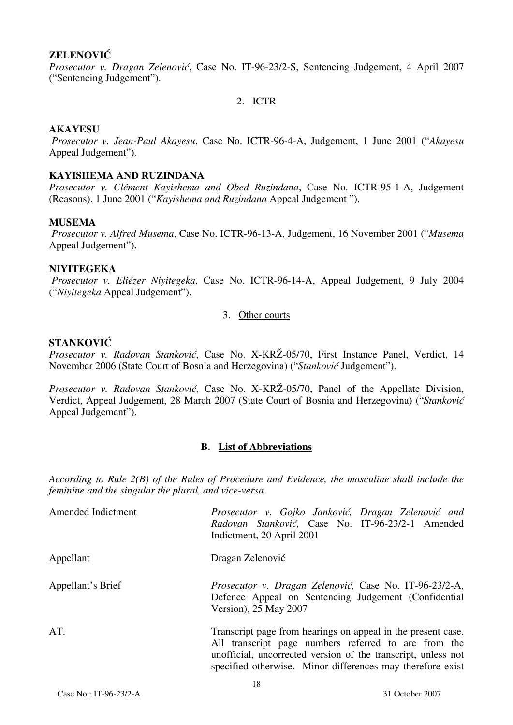#### **ZELENOVIĆ**

*Prosecutor v. Dragan Zelenović*, Case No. IT-96-23/2-S, Sentencing Judgement, 4 April 2007 ("Sentencing Judgement").

#### 2. ICTR

#### **AKAYESU**

 *Prosecutor v. Jean-Paul Akayesu*, Case No. ICTR-96-4-A, Judgement, 1 June 2001 ("*Akayesu* Appeal Judgement").

#### **KAYISHEMA AND RUZINDANA**

*Prosecutor v. Clément Kayishema and Obed Ruzindana*, Case No. ICTR-95-1-A, Judgement (Reasons), 1 June 2001 ("*Kayishema and Ruzindana* Appeal Judgement ").

#### **MUSEMA**

 *Prosecutor v. Alfred Musema*, Case No. ICTR-96-13-A, Judgement, 16 November 2001 ("*Musema* Appeal Judgement").

#### **NIYITEGEKA**

 *Prosecutor v. Eliézer Niyitegeka*, Case No. ICTR-96-14-A, Appeal Judgement, 9 July 2004 ("*Niyitegeka* Appeal Judgement").

#### 3. Other courts

#### **STANKOVIĆ**

*Prosecutor v. Radovan Stanković*, Case No. X-KRŽ-05/70, First Instance Panel, Verdict, 14 November 2006 (State Court of Bosnia and Herzegovina) ("*Stanković* Judgement").

*Prosecutor v. Radovan Stanković*, Case No. X-KRŽ-05/70, Panel of the Appellate Division, Verdict, Appeal Judgement, 28 March 2007 (State Court of Bosnia and Herzegovina) ("Stanković Appeal Judgement").

#### **B. List of Abbreviations**

*According to Rule 2(B) of the Rules of Procedure and Evidence, the masculine shall include the feminine and the singular the plural, and vice-versa.* 

| Amended Indictment | Prosecutor v. Gojko Janković, Dragan Zelenović and<br>Radovan Stanković, Case No. IT-96-23/2-1 Amended<br>Indictment, 20 April 2001                                                                                                                 |
|--------------------|-----------------------------------------------------------------------------------------------------------------------------------------------------------------------------------------------------------------------------------------------------|
| Appellant          | Dragan Zelenović                                                                                                                                                                                                                                    |
| Appellant's Brief  | Prosecutor v. Dragan Zelenović, Case No. IT-96-23/2-A,<br>Defence Appeal on Sentencing Judgement (Confidential<br>Version), 25 May 2007                                                                                                             |
| AT.                | Transcript page from hearings on appeal in the present case.<br>All transcript page numbers referred to are from the<br>unofficial, uncorrected version of the transcript, unless not<br>specified otherwise. Minor differences may therefore exist |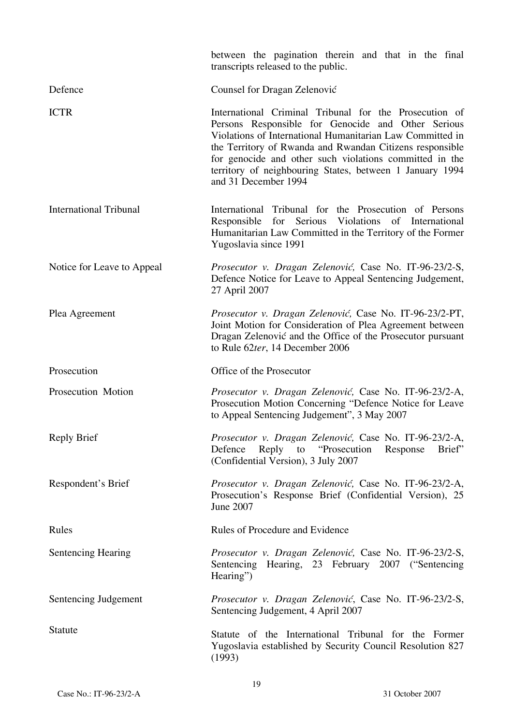|                               | between the pagination therein and that in the final<br>transcripts released to the public.                                                                                                                                                                                                                                                                                          |
|-------------------------------|--------------------------------------------------------------------------------------------------------------------------------------------------------------------------------------------------------------------------------------------------------------------------------------------------------------------------------------------------------------------------------------|
| Defence                       | Counsel for Dragan Zelenović                                                                                                                                                                                                                                                                                                                                                         |
| <b>ICTR</b>                   | International Criminal Tribunal for the Prosecution of<br>Persons Responsible for Genocide and Other Serious<br>Violations of International Humanitarian Law Committed in<br>the Territory of Rwanda and Rwandan Citizens responsible<br>for genocide and other such violations committed in the<br>territory of neighbouring States, between 1 January 1994<br>and 31 December 1994 |
| <b>International Tribunal</b> | International Tribunal for the Prosecution of Persons<br>Responsible for Serious Violations of International<br>Humanitarian Law Committed in the Territory of the Former<br>Yugoslavia since 1991                                                                                                                                                                                   |
| Notice for Leave to Appeal    | Prosecutor v. Dragan Zelenović, Case No. IT-96-23/2-S,<br>Defence Notice for Leave to Appeal Sentencing Judgement,<br>27 April 2007                                                                                                                                                                                                                                                  |
| Plea Agreement                | Prosecutor v. Dragan Zelenović, Case No. IT-96-23/2-PT,<br>Joint Motion for Consideration of Plea Agreement between<br>Dragan Zelenović and the Office of the Prosecutor pursuant<br>to Rule $62$ ter, 14 December 2006                                                                                                                                                              |
| Prosecution                   | Office of the Prosecutor                                                                                                                                                                                                                                                                                                                                                             |
| Prosecution Motion            | Prosecutor v. Dragan Zelenović, Case No. IT-96-23/2-A,<br>Prosecution Motion Concerning "Defence Notice for Leave<br>to Appeal Sentencing Judgement", 3 May 2007                                                                                                                                                                                                                     |
| <b>Reply Brief</b>            | Prosecutor v. Dragan Zelenović, Case No. IT-96-23/2-A,<br>Reply to "Prosecution"<br>Brief"<br>Defence<br>Response<br>(Confidential Version), 3 July 2007                                                                                                                                                                                                                             |
| Respondent's Brief            | Prosecutor v. Dragan Zelenović, Case No. IT-96-23/2-A,<br>Prosecution's Response Brief (Confidential Version), 25<br>June 2007                                                                                                                                                                                                                                                       |
| Rules                         | Rules of Procedure and Evidence                                                                                                                                                                                                                                                                                                                                                      |
| <b>Sentencing Hearing</b>     | Prosecutor v. Dragan Zelenović, Case No. IT-96-23/2-S,<br>Sentencing Hearing, 23 February 2007 ("Sentencing<br>Hearing")                                                                                                                                                                                                                                                             |
| Sentencing Judgement          | Prosecutor v. Dragan Zelenović, Case No. IT-96-23/2-S,<br>Sentencing Judgement, 4 April 2007                                                                                                                                                                                                                                                                                         |
| <b>Statute</b>                | Statute of the International Tribunal for the Former<br>Yugoslavia established by Security Council Resolution 827<br>(1993)                                                                                                                                                                                                                                                          |